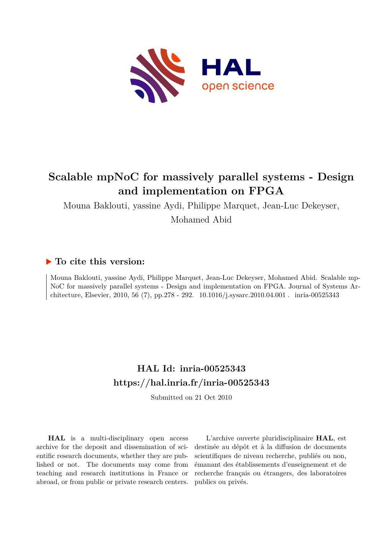

# **Scalable mpNoC for massively parallel systems - Design and implementation on FPGA**

Mouna Baklouti, yassine Aydi, Philippe Marquet, Jean-Luc Dekeyser,

Mohamed Abid

# **To cite this version:**

Mouna Baklouti, yassine Aydi, Philippe Marquet, Jean-Luc Dekeyser, Mohamed Abid. Scalable mp-NoC for massively parallel systems - Design and implementation on FPGA. Journal of Systems Architecture, Elsevier, 2010, 56 (7), pp.278 - 292.  $10.1016/j.sysarc.2010.04.001$ . inria-00525343

# **HAL Id: inria-00525343 <https://hal.inria.fr/inria-00525343>**

Submitted on 21 Oct 2010

**HAL** is a multi-disciplinary open access archive for the deposit and dissemination of scientific research documents, whether they are published or not. The documents may come from teaching and research institutions in France or abroad, or from public or private research centers.

L'archive ouverte pluridisciplinaire **HAL**, est destinée au dépôt et à la diffusion de documents scientifiques de niveau recherche, publiés ou non, émanant des établissements d'enseignement et de recherche français ou étrangers, des laboratoires publics ou privés.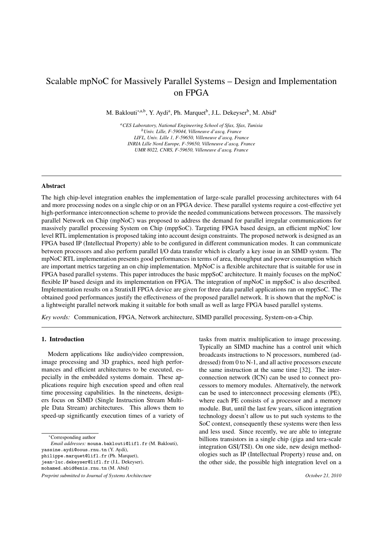# Scalable mpNoC for Massively Parallel Systems – Design and Implementation on FPGA

M. Baklouti<sup>∗,a,b</sup>, Y. Aydi<sup>a</sup>, Ph. Marquet<sup>b</sup>, J.L. Dekeyser<sup>b</sup>, M. Abid<sup>a</sup>

*<sup>a</sup>CES Laboratory, National Engineering School of Sfax, Sfax, Tunisia <sup>b</sup>Univ. Lille, F-59044, Villeneuve d'ascq, France LIFL, Univ. Lille 1, F-59650, Villeneuve d'ascq, France INRIA Lille Nord Europe, F-59650, Villeneuve d'ascq, France UMR 8022, CNRS, F-59650, Villeneuve d'ascq, France*

#### Abstract

The high chip-level integration enables the implementation of large-scale parallel processing architectures with 64 and more processing nodes on a single chip or on an FPGA device. These parallel systems require a cost-effective yet high-performance interconnection scheme to provide the needed communications between processors. The massively parallel Network on Chip (mpNoC) was proposed to address the demand for parallel irregular communications for massively parallel processing System on Chip (mppSoC). Targeting FPGA based design, an efficient mpNoC low level RTL implementation is proposed taking into account design constraints. The proposed network is designed as an FPGA based IP (Intellectual Property) able to be configured in different communication modes. It can communicate between processors and also perform parallel I/O data transfer which is clearly a key issue in an SIMD system. The mpNoC RTL implementation presents good performances in terms of area, throughput and power consumption which are important metrics targeting an on chip implementation. MpNoC is a flexible architecture that is suitable for use in FPGA based parallel systems. This paper introduces the basic mppSoC architecture. It mainly focuses on the mpNoC flexible IP based design and its implementation on FPGA. The integration of mpNoC in mppSoC is also described. Implementation results on a StratixII FPGA device are given for three data parallel applications ran on mppSoC. The obtained good performances justify the effectiveness of the proposed parallel network. It is shown that the mpNoC is a lightweight parallel network making it suitable for both small as well as large FPGA based parallel systems.

*Key words:* Communication, FPGA, Network architecture, SIMD parallel processing, System-on-a-Chip.

## 1. Introduction

Modern applications like audio/video compression, image processing and 3D graphics, need high performances and efficient architectures to be executed, especially in the embedded systems domain. These applications require high execution speed and often real time processing capabilities. In the nineteens, designers focus on SIMD (Single Instruction Stream Multiple Data Stream) architectures. This allows them to speed-up significantly execution times of a variety of

<sup>∗</sup>Corresponding author

*Email addresses:* mouna.baklouti@lifl.fr (M. Baklouti), yassine.aydi@oous.rnu.tn (Y. Aydi),

philippe.marquet@lifl.fr (Ph. Marquet),

jean-luc.dekeyser@lifl.fr (J.L. Dekeyser),

mohamed.abid@enis.rnu.tn (M. Abid)

tasks from matrix multiplication to image processing. Typically an SIMD machine has a control unit which broadcasts instructions to N processors, numbered (addressed) from 0 to N-1, and all active processors execute the same instruction at the same time [32]. The interconnection network (ICN) can be used to connect processors to memory modules. Alternatively, the network can be used to interconnect processing elements (PE), where each PE consists of a processor and a memory module. But, until the last few years, silicon integration technology doesn't allow us to put such systems to the SoC context, consequently these systems were then less and less used. Since recently, we are able to integrate billions transistors in a single chip (giga and tera-scale integration GSI/TSI). On one side, new design methodologies such as IP (Intellectual Property) reuse and, on the other side, the possible high integration level on a

*Preprint submitted to Journal of Systems Architecture October 21, 2010*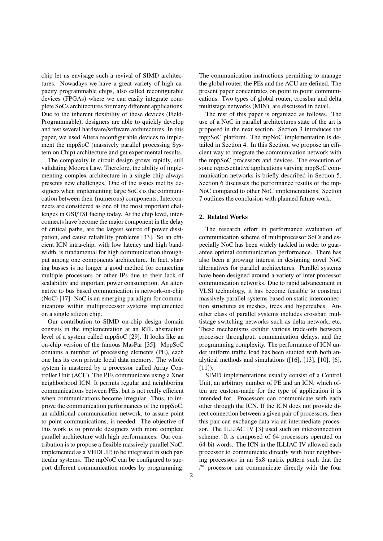chip let us envisage such a revival of SIMD architectures. Nowadays we have a great variety of high capacity programmable chips, also called reconfigurable devices (FPGAs) where we can easily integrate complete SoCs architectures for many different applications. Due to the inherent flexibility of these devices (Field-Programmable), designers are able to quickly develop and test several hardware/software architectures. In this paper, we used Altera reconfigurable devices to implement the mppSoC (massively parallel processing System on Chip) architecture and get experimental results.

The complexity in circuit design grows rapidly, still validating Moores Law. Therefore, the ability of implementing complex architecture in a single chip always presents new challenges. One of the issues met by designers when implementing large SoCs is the communication between their (numerous) components. Interconnects are considered as one of the most important challenges in GSI/TSI facing today. At the chip level, interconnects have become the major component in the delay of critical paths, are the largest source of power dissipation, and cause reliability problems [33]. So an efficient ICN intra-chip, with low latency and high bandwidth, is fundamental for high communication throughput among one components'architecture. In fact, sharing busses is no longer a good method for connecting multiple processors or other IPs due to their lack of scalability and important power consumption. An alternative to bus based communication is network-on-chip (NoC) [17]. NoC is an emerging paradigm for communications within multiprocessor systems implemented on a single silicon chip.

Our contribution to SIMD on-chip design domain consists in the implementation at an RTL abstraction level of a system called mppSoC [29]. It looks like an on-chip version of the famous MasPar [35]. MppSoC contains a number of processing elements (PE), each one has its own private local data memory. The whole system is mastered by a processor called Array Controller Unit (ACU). The PEs communicate using a Xnet neighborhood ICN. It permits regular and neighboring communications between PEs, but is not really efficient when communications become irregular. Thus, to improve the communication performances of the mppSoC, an additional communication network, to assure point to point communications, is needed. The objective of this work is to provide designers with more complete parallel architecture with high performances. Our contribution is to propose a flexible massively parallel NoC, implemented as a VHDL IP, to be integrated in such particular systems. The mpNoC can be configured to support different communication modes by programming.

The communication instructions permitting to manage the global router, the PEs and the ACU are defined. The present paper concentrates on point to point communications. Two types of global router, crossbar and delta multistage networks (MIN), are discussed in detail.

The rest of this paper is organized as follows. The use of a NoC in parallel architectures state of the art is proposed in the next section. Section 3 introduces the mppSoC platform. The mpNoC implementation is detailed in Section 4. In this Section, we propose an efficient way to integrate the communication network with the mppSoC processors and devices. The execution of some representative applications varying mppSoC communication networks is briefly described in Section 5. Section 6 discusses the performance results of the mp-NoC compared to other NoC implementations. Section 7 outlines the conclusion with planned future work.

#### 2. Related Works

The research effort in performance evaluation of communication scheme of multiprocessor SoCs and especially NoC has been widely tackled in order to guarantee optimal communication performance. There has also been a growing interest in designing novel NoC alternatives for parallel architectures. Parallel systems have been designed around a variety of inter processor communication networks. Due to rapid advancement in VLSI technology, it has become feasible to construct massively parallel systems based on static interconnection structures as meshes, trees and hypercubes. Another class of parallel systems includes crossbar, multistage switching networks such as delta network, etc. These mechanisms exhibit various trade-offs between processor throughput, communication delays, and the programming complexity. The performance of ICN under uniform traffic load has been studied with both analytical methods and simulations ([16], [13], [10], [6],  $[11]$ ).

SIMD implementations usually consist of a Control Unit, an arbitrary number of PE and an ICN, which often are custom-made for the type of application it is intended for. Processors can communicate with each other through the ICN. If the ICN does not provide direct connection between a given pair of processors, then this pair can exchange data via an intermediate processor. The ILLIAC IV [3] used such an interconnection scheme. It is composed of 64 processors operated on 64-bit words. The ICN in the ILLIAC IV allowed each processor to communicate directly with four neighboring processors in an 8x8 matrix pattern such that the *i th* processor can communicate directly with the four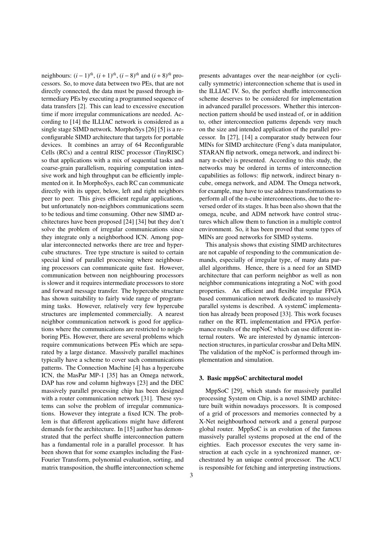neighbours:  $(i - 1)^{th}$ ,  $(i + 1)^{th}$ ,  $(i - 8)^{th}$  and  $(i + 8)^{th}$  processors. So, to move data between two PEs, that are not directly connected, the data must be passed through intermediary PEs by executing a programmed sequence of data transfers [2]. This can lead to excessive execution time if more irregular communications are needed. According to [14] the ILLIAC network is considered as a single stage SIMD network. MorphoSys [26] [5] is a reconfigurable SIMD architecture that targets for portable devices. It combines an array of 64 Reconfigurable Cells (RCs) and a central RISC processor (TinyRISC) so that applications with a mix of sequential tasks and coarse-grain parallelism, requiring computation intensive work and high throughput can be efficiently implemented on it. In MorphoSys, each RC can communicate directly with its upper, below, left and right neighbors peer to peer. This gives efficient regular applications, but unfortunately non-neighbors communications seem to be tedious and time consuming. Other new SIMD architectures have been proposed [24] [34] but they don't solve the problem of irregular communications since they integrate only a neighborhood ICN. Among popular interconnected networks there are tree and hypercube structures. Tree type structure is suited to certain special kind of parallel processing where neighbouring processors can communicate quite fast. However, communication between non neighbouring processors is slower and it requires intermediate processors to store and forward message transfer. The hypercube structure has shown suitability to fairly wide range of programming tasks. However, relatively very few hypercube structures are implemented commercially. A nearest neighbor communication network is good for applications where the communications are restricted to neighboring PEs. However, there are several problems which require communications between PEs which are separated by a large distance. Massively parallel machines typically have a scheme to cover such communications patterns. The Connection Machine [4] has a hypercube ICN, the MasPar MP-1 [35] has an Omega network, DAP has row and column highways [23] and the DEC massively parallel processing chip has been designed with a router communication network [31]. These systems can solve the problem of irregular communications. However they integrate a fixed ICN. The problem is that different applications might have different demands for the architecture. In [15] author has demonstrated that the perfect shuffle interconnection pattern has a fundamental role in a parallel processor. It has been shown that for some examples including the Fast-Fourier Transform, polynomial evaluation, sorting, and matrix transposition, the shuffle interconnection scheme

presents advantages over the near-neighbor (or cyclically symmetric) interconnection scheme that is used in the ILLIAC IV. So, the perfect shuffle interconnection scheme deserves to be considered for implementation in advanced parallel processors. Whether this interconnection pattern should be used instead of, or in addition to, other interconnection patterns depends very much on the size and intended application of the parallel processor. In [27], [14] a comparator study between four MINs for SIMD architecture (Feng's data manipulator, STARAN flip network, omega network, and indirect binary n-cube) is presented. According to this study, the networks may be ordered in terms of interconnection capabilities as follows: flip network, indirect binary ncube, omega network, and ADM. The Omega network, for example, may have to use address transformations to perform all of the n-cube interconnections, due to the reversed order of its stages. It has been also shown that the omega, ncube, and ADM network have control structures which allow them to function in a multiple control environment. So, it has been proved that some types of MINs are good networks for SIMD systems.

This analysis shows that existing SIMD architectures are not capable of responding to the communication demands, especially of irregular type, of many data parallel algorithms. Hence, there is a need for an SIMD architecture that can perform neighbor as well as non neighbor communications integrating a NoC with good properties. An efficient and flexible irregular FPGA based communication network dedicated to massively parallel systems is described. A systemC implementation has already been proposed [33]. This work focuses rather on the RTL implementation and FPGA performance results of the mpNoC which can use different internal routers. We are interested by dynamic interconnection structures, in particular crossbar and Delta MIN. The validation of the mpNoC is performed through implementation and simulation.

# 3. Basic mppSoC architectural model

MppSoC [29], which stands for massively parallel processing System on Chip, is a novel SIMD architecture built within nowadays processors. It is composed of a grid of processors and memories connected by a X-Net neighbourhood network and a general purpose global router. MppSoC is an evolution of the famous massively parallel systems proposed at the end of the eighties. Each processor executes the very same instruction at each cycle in a synchronized manner, orchestrated by an unique control processor. The ACU is responsible for fetching and interpreting instructions.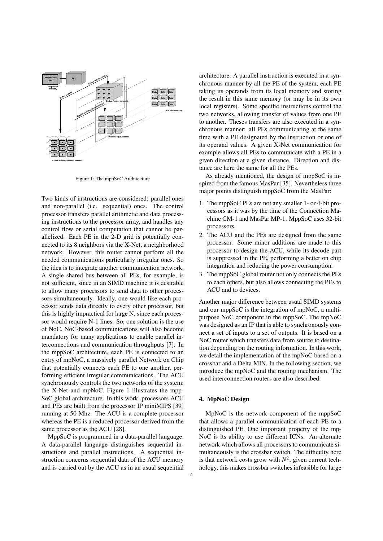

Figure 1: The mppSoC Architecture

Two kinds of instructions are considered: parallel ones and non-parallel (i.e. sequential) ones. The control processor transfers parallel arithmetic and data processing instructions to the processor array, and handles any control flow or serial computation that cannot be parallelized. Each PE in the 2-D grid is potentially connected to its 8 neighbors via the X-Net, a neighborhood network. However, this router cannot perform all the needed communications particularly irregular ones. So the idea is to integrate another communication network. A single shared bus between all PEs, for example, is not sufficient, since in an SIMD machine it is desirable to allow many processors to send data to other processors simultaneously. Ideally, one would like each processor sends data directly to every other processor, but this is highly impractical for large N, since each processor would require N-1 lines. So, one solution is the use of NoC. NoC-based communications will also become mandatory for many applications to enable parallel interconnections and communication throughputs [7]. In the mppSoC architecture, each PE is connected to an entry of mpNoC, a massively parallel Network on Chip that potentially connects each PE to one another, performing efficient irregular communications. The ACU synchronously controls the two networks of the system: the X-Net and mpNoC. Figure 1 illustrates the mpp-SoC global architecture. In this work, processors ACU and PEs are built from the processor IP miniMIPS [39] running at 50 Mhz. The ACU is a complete processor whereas the PE is a reduced processor derived from the same processor as the ACU [28].

MppSoC is programmed in a data-parallel language. A data-parallel language distinguishes sequential instructions and parallel instructions. A sequential instruction concerns sequential data of the ACU memory and is carried out by the ACU as in an usual sequential architecture. A parallel instruction is executed in a synchronous manner by all the PE of the system, each PE taking its operands from its local memory and storing the result in this same memory (or may be in its own local registers). Some specific instructions control the two networks, allowing transfer of values from one PE to another. Theses transfers are also executed in a synchronous manner: all PEs communicating at the same time with a PE designated by the instruction or one of its operand values. A given X-Net communication for example allows all PEs to communicate with a PE in a given direction at a given distance. Direction and distance are here the same for all the PEs.

As already mentioned, the design of mppSoC is inspired from the famous MasPar [35]. Nevertheless three major points distinguish mppSoC from the MasPar:

- 1. The mppSoC PEs are not any smaller 1- or 4-bit processors as it was by the time of the Connection Machine CM-1 and MasPar MP-1. MppSoC uses 32-bit processors.
- 2. The ACU and the PEs are designed from the same processor. Some minor additions are made to this processor to design the ACU, while its decode part is suppressed in the PE, performing a better on chip integration and reducing the power consumption.
- 3. The mppSoC global router not only connects the PEs to each others, but also allows connecting the PEs to ACU and to devices.

Another major difference between usual SIMD systems and our mppSoC is the integration of mpNoC, a multipurpose NoC component in the mppSoC. The mpNoC was designed as an IP that is able to synchronously connect a set of inputs to a set of outputs. It is based on a NoC router which transfers data from source to destination depending on the routing information. In this work, we detail the implementation of the mpNoC based on a crossbar and a Delta MIN. In the following section, we introduce the mpNoC and the routing mechanism. The used interconnection routers are also described.

## 4. MpNoC Design

MpNoC is the network component of the mppSoC that allows a parallel communication of each PE to a distinguished PE. One important property of the mp-NoC is its ability to use different ICNs. An alternate network which allows all processors to communicate simultaneously is the crossbar switch. The difficulty here is that network costs grow with  $N^2$ ; given current technology, this makes crossbar switches infeasible for large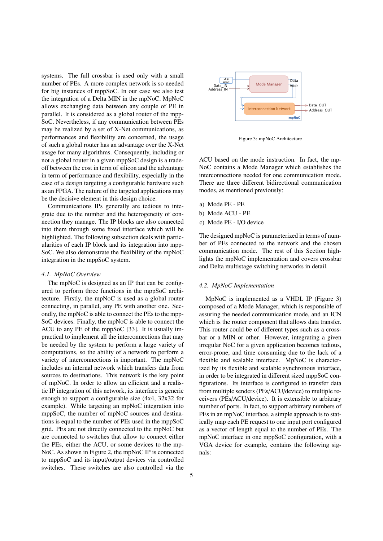systems. The full crossbar is used only with a small number of PEs. A more complex network is so needed for big instances of mppSoC. In our case we also test the integration of a Delta MIN in the mpNoC. MpNoC allows exchanging data between any couple of PE in parallel. It is considered as a global router of the mpp-SoC. Nevertheless, if any communication between PEs may be realized by a set of X-Net communications, as performances and flexibility are concerned, the usage of such a global router has an advantage over the X-Net usage for many algorithms. Consequently, including or not a global router in a given mppSoC design is a tradeoff between the cost in term of silicon and the advantage in term of performance and flexibility, especially in the case of a design targeting a configurable hardware such as an FPGA. The nature of the targeted applications may be the decisive element in this design choice.

Communications IPs generally are tedious to integrate due to the number and the heterogeneity of connection they manage. The IP blocks are also connected into them through some fixed interface which will be highlighted. The following subsection deals with particularities of each IP block and its integration into mpp-SoC. We also demonstrate the flexibility of the mpNoC integration in the mppSoC system.

#### *4.1. MpNoC Overview*

The mpNoC is designed as an IP that can be configured to perform three functions in the mppSoC architecture. Firstly, the mpNoC is used as a global router connecting, in parallel, any PE with another one. Secondly, the mpNoC is able to connect the PEs to the mpp-SoC devices. Finally, the mpNoC is able to connect the ACU to any PE of the mppSoC [33]. It is usually impractical to implement all the interconnections that may be needed by the system to perform a large variety of computations, so the ability of a network to perform a variety of interconnections is important. The mpNoC includes an internal network which transfers data from sources to destinations. This network is the key point of mpNoC. In order to allow an efficient and a realistic IP integration of this network, its interface is generic enough to support a configurable size (4x4, 32x32 for example). While targeting an mpNoC integration into mppSoC, the number of mpNoC sources and destinations is equal to the number of PEs used in the mppSoC grid. PEs are not directly connected to the mpNoC but are connected to switches that allow to connect either the PEs, either the ACU, or some devices to the mp-NoC. As shown in Figure 2, the mpNoC IP is connected to mppSoC and its input/output devices via controlled switches. These switches are also controlled via the



Figure 3: mpNoC Architecture

ACU based on the mode instruction. In fact, the mp-NoC contains a Mode Manager which establishes the interconnections needed for one communication mode. There are three different bidirectional communication modes, as mentioned previously:

- a) Mode PE PE
- b) Mode ACU PE
- c) Mode PE I/O device

The designed mpNoC is parameterized in terms of number of PEs connected to the network and the chosen communication mode. The rest of this Section highlights the mpNoC implementation and covers crossbar and Delta multistage switching networks in detail.

#### *4.2. MpNoC Implementation*

MpNoC is implemented as a VHDL IP (Figure 3) composed of a Mode Manager, which is responsible of assuring the needed communication mode, and an ICN which is the router component that allows data transfer. This router could be of different types such as a crossbar or a MIN or other. However, integrating a given irregular NoC for a given application becomes tedious, error-prone, and time consuming due to the lack of a flexible and scalable interface. MpNoC is characterized by its flexible and scalable synchronous interface, in order to be integrated in different sized mppSoC configurations. Its interface is configured to transfer data from multiple senders (PEs/ACU/device) to multiple receivers (PEs/ACU/device). It is extensible to arbitrary number of ports. In fact, to support arbitrary numbers of PEs in an mpNoC interface, a simple approach is to statically map each PE request to one input port configured as a vector of length equal to the number of PEs. The mpNoC interface in one mppSoC configuration, with a VGA device for example, contains the following signals: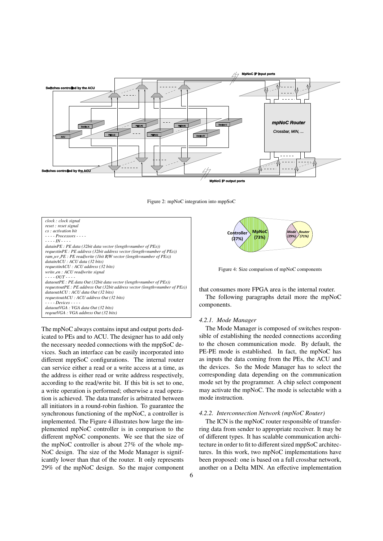

Figure 2: mpNoC integration into mppSoC

| clock : clock signal                                                         |
|------------------------------------------------------------------------------|
| reset : reset signal                                                         |
| cs: activation bit                                                           |
| $---$ Processors - - - -                                                     |
| - - - - <i>IN</i> - - - -                                                    |
| $datainPE : PE$ data (32bit data vector (length=number of $PEs$ ))           |
| requestin $PE$ : PE address (32bit address vector (length=number of PEs))    |
| ram_wr_PE : PE read/write (1bit R/W vector (length=number of PEs))           |
| datainACU : ACU data (32 bits)                                               |
| requestinACU : ACU address (32 bits)                                         |
| write_en : ACU read/write signal                                             |
| - - - - <i>OUT</i> - - - -                                                   |
| $dataoutPE : PE$ data Out (32bit data vector (length=number of $PEs$ ))      |
| requestout PE : PE address Out (32bit address vector (length=number of PEs)) |
| dataoutACU : ACU data Out (32 bits)                                          |
| requestoutACU : ACU address Out (32 bits)                                    |
| - - - - <i>Devices</i> - - - -                                               |
| dataoutVGA : VGA data Out (32 bits)                                          |
| regoutVGA : VGA address Out (32 bits)                                        |
|                                                                              |

The mpNoC always contains input and output ports dedicated to PEs and to ACU. The designer has to add only the necessary needed connections with the mppSoC devices. Such an interface can be easily incorporated into different mppSoC configurations. The internal router can service either a read or a write access at a time, as the address is either read or write address respectively, according to the read/write bit. If this bit is set to one, a write operation is performed; otherwise a read operation is achieved. The data transfer is arbitrated between all initiators in a round-robin fashion. To guarantee the synchronous functioning of the mpNoC, a controller is implemented. The Figure 4 illustrates how large the implemented mpNoC controller is in comparison to the different mpNoC components. We see that the size of the mpNoC controller is about 27% of the whole mp-NoC design. The size of the Mode Manager is significantly lower than that of the router. It only represents 29% of the mpNoC design. So the major component



Figure 4: Size comparison of mpNoC components

that consumes more FPGA area is the internal router.

The following paragraphs detail more the mpNoC components.

#### *4.2.1. Mode Manager*

The Mode Manager is composed of switches responsible of establishing the needed connections according to the chosen communication mode. By default, the PE-PE mode is established. In fact, the mpNoC has as inputs the data coming from the PEs, the ACU and the devices. So the Mode Manager has to select the corresponding data depending on the communication mode set by the programmer. A chip select component may activate the mpNoC. The mode is selectable with a mode instruction.

#### *4.2.2. Interconnection Network (mpNoC Router)*

The ICN is the mpNoC router responsible of transferring data from sender to appropriate receiver. It may be of different types. It has scalable communication architecture in order to fit to different sized mppSoC architectures. In this work, two mpNoC implementations have been proposed: one is based on a full crossbar network, another on a Delta MIN. An effective implementation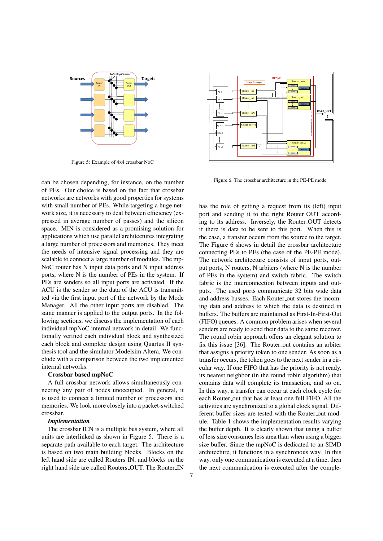

Figure 5: Example of 4x4 crossbar NoC

can be chosen depending, for instance, on the number of PEs. Our choice is based on the fact that crossbar networks are networks with good properties for systems with small number of PEs. While targeting a huge network size, it is necessary to deal between efficiency (expressed in average number of passes) and the silicon space. MIN is considered as a promising solution for applications which use parallel architectures integrating a large number of processors and memories. They meet the needs of intensive signal processing and they are scalable to connect a large number of modules. The mp-NoC router has N input data ports and N input address ports, where N is the number of PEs in the system. If PEs are senders so all input ports are activated. If the ACU is the sender so the data of the ACU is transmitted via the first input port of the network by the Mode Manager. All the other input ports are disabled. The same manner is applied to the output ports. In the following sections, we discuss the implementation of each individual mpNoC internal network in detail. We functionally verified each individual block and synthesized each block and complete design using Quartus II synthesis tool and the simulator Modelsim Altera. We conclude with a comparison between the two implemented internal networks.

#### Crossbar based mpNoC

A full crossbar network allows simultaneously connecting any pair of nodes unoccupied. In general, it is used to connect a limited number of processors and memories. We look more closely into a packet-switched crossbar.

#### *Implementation*

The crossbar ICN is a multiple bus system, where all units are interlinked as shown in Figure 5. There is a separate path available to each target. The architecture is based on two main building blocks. Blocks on the left hand side are called Routers IN, and blocks on the right hand side are called Routers OUT. The Router IN



Figure 6: The crossbar architecture in the PE-PE mode

has the role of getting a request from its (left) input port and sending it to the right Router OUT according to its address. Inversely, the Router OUT detects if there is data to be sent to this port. When this is the case, a transfer occurs from the source to the target. The Figure 6 shows in detail the crossbar architecture connecting PEs to PEs (the case of the PE-PE mode). The network architecture consists of input ports, output ports, N routers, N arbiters (where N is the number of PEs in the system) and switch fabric. The switch fabric is the interconnection between inputs and outputs. The used ports communicate 32 bits wide data and address busses. Each Router out stores the incoming data and address to which the data is destined in buffers. The buffers are maintained as First-In-First-Out (FIFO) queues. A common problem arises when several senders are ready to send their data to the same receiver. The round robin approach offers an elegant solution to fix this issue [36]. The Router out contains an arbiter that assigns a priority token to one sender. As soon as a transfer occurs, the token goes to the next sender in a circular way. If one FIFO that has the priority is not ready, its nearest neighbor (in the round robin algorithm) that contains data will complete its transaction, and so on. In this way, a transfer can occur at each clock cycle for each Router<sub>-out</sub> that has at least one full FIFO. All the activities are synchronized to a global clock signal. Different buffer sizes are tested with the Router\_out module. Table 1 shows the implementation results varying the buffer depth. It is clearly shown that using a buffer of less size consumes less area than when using a bigger size buffer. Since the mpNoC is dedicated to an SIMD architecture, it functions in a synchronous way. In this way, only one communication is executed at a time, then the next communication is executed after the comple-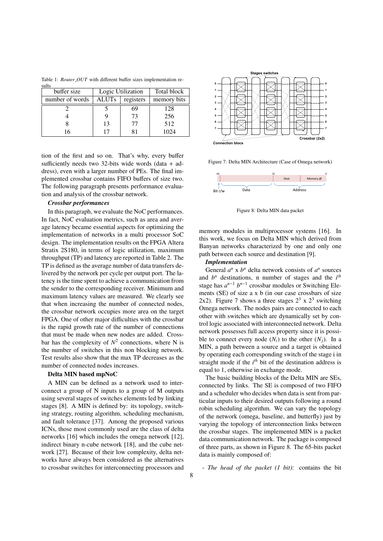Table 1: *Router\_OUT* with different buffer sizes implementation results

| buffer size     | Logic Utilization |           | Total block |
|-----------------|-------------------|-----------|-------------|
| number of words | <b>ALUTs</b>      | registers | memory bits |
|                 |                   | 69        | 128         |
|                 |                   | 73        | 256         |
|                 | 13                | 77        | 512         |
| 16              |                   |           | 1024        |

tion of the first and so on. That's why, every buffer sufficiently needs two 32-bits wide words (data + address), even with a larger number of PEs. The final implemented crossbar contains FIFO buffers of size two. The following paragraph presents performance evaluation and analysis of the crossbar network.

#### *Crossbar performances*

In this paragraph, we evaluate the NoC performances. In fact, NoC evaluation metrics, such as area and average latency became essential aspects for optimizing the implementation of networks in a multi processor SoC design. The implementation results on the FPGA Altera Stratix 2S180, in terms of logic utilization, maximum throughput (TP) and latency are reported in Table 2. The TP is defined as the average number of data transfers delivered by the network per cycle per output port. The latency is the time spent to achieve a communication from the sender to the corresponding receiver. Minimum and maximum latency values are measured. We clearly see that when increasing the number of connected nodes, the crossbar network occupies more area on the target FPGA. One of other major difficulties with the crossbar is the rapid growth rate of the number of connections that must be made when new nodes are added. Crossbar has the complexity of  $N^2$  connections, where N is the number of switches in this non blocking network. Test results also show that the max TP decreases as the number of connected nodes increases.

#### Delta MIN based mpNoC

A MIN can be defined as a network used to interconnect a group of N inputs to a group of M outputs using several stages of switches elements led by linking stages [8]. A MIN is defined by: its topology, switching strategy, routing algorithm, scheduling mechanism, and fault tolerance [37]. Among the proposed various ICNs, those most commonly used are the class of delta networks [16] which includes the omega network [12], indirect binary n-cube network [18], and the cube network [27]. Because of their low complexity, delta networks have always been considered as the alternatives to crossbar switches for interconnecting processors and



Figure 7: Delta MIN Architecture (Case of Omega network)



Figure 8: Delta MIN data packet

memory modules in multiprocessor systems [16]. In this work, we focus on Delta MIN which derived from Banyan networks characterized by one and only one path between each source and destination [9].

#### *Implementation*

General  $a^n$  x  $b^n$  delta network consists of  $a^n$  sources and  $b^n$  destinations, n number of stages and the  $i^{th}$ stage has  $a^{n-1}$   $b^{n-1}$  crossbar modules or Switching Elements (SE) of size a x b (in our case crossbars of size 2x2). Figure 7 shows a three stages  $2^3 \times 2^3$  switching Omega network. The nodes pairs are connected to each other with switches which are dynamically set by control logic associated with interconnected network. Delta network possesses full access property since it is possible to connect every node  $(N_i)$  to the other  $(N_i)$ . In a MIN, a path between a source and a target is obtained by operating each corresponding switch of the stage i in straight mode if the  $i<sup>th</sup>$  bit of the destination address is equal to 1, otherwise in exchange mode.

The basic building blocks of the Delta MIN are SEs, connected by links. The SE is composed of two FIFO and a scheduler who decides when data is sent from particular inputs to their desired outputs following a round robin scheduling algorithm. We can vary the topology of the network (omega, baseline, and butterfly) just by varying the topology of interconnection links between the crossbar stages. The implemented MIN is a packet data communication network. The package is composed of three parts, as shown in Figure 8. The 65-bits packet data is mainly composed of:

- *The head of the packet (1 bit)*: contains the bit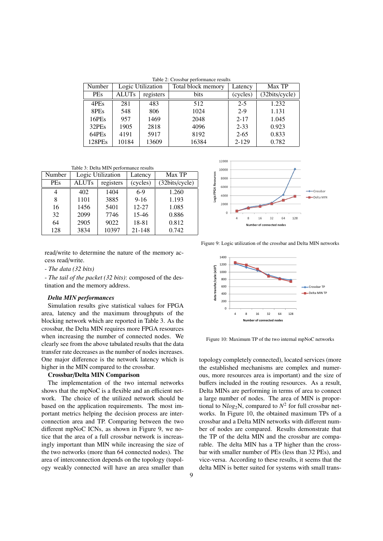Table 2: Crossbar performance results

| Number           | Logic Utilization<br><b>ALUTs</b><br>registers |       | Total block memory | Latency   | Max TP         |
|------------------|------------------------------------------------|-------|--------------------|-----------|----------------|
| <b>PEs</b>       |                                                |       | bits               | (cycles)  | (32bits/cycle) |
| 4PE <sub>s</sub> | 281                                            | 483   | 512                | $2 - 5$   | 1.232          |
| 8PEs             | 548                                            | 806   | 1024               | $2-9$     | 1.131          |
| 16PEs            | 957                                            | 1469  | 2048               | $2 - 17$  | 1.045          |
| 32PEs            | 1905                                           | 2818  | 4096               | $2 - 33$  | 0.923          |
| 64PEs            | 4191                                           | 5917  | 8192               | $2 - 65$  | 0.833          |
| 128PEs           | 10184                                          | 13609 | 16384              | $2 - 129$ | 0.782          |

Table 3: Delta MIN performance results

| Number     | Logic Utilization |           | Latency   | Max TP         |
|------------|-------------------|-----------|-----------|----------------|
| <b>PEs</b> | <b>ALUTs</b>      | registers | (cycles)  | (32bits/cycle) |
| 4          | 402               | 1404      | $6-9$     | 1.260          |
| 8          | 1101              | 3885      | $9 - 16$  | 1.193          |
| 16         | 1456              | 5401      | $12 - 27$ | 1.085          |
| 32         | 2099              | 7746      | $15 - 46$ | 0.886          |
| 64         | 2905              | 9022      | 18-81     | 0.812          |
| 128        | 3834              | 10397     | 21-148    | 0.742          |



read/write to determine the nature of the memory access read/write.

- *The data (32 bits)*

- *The tail of the packet (32 bits)*: composed of the destination and the memory address.

### *Delta MIN performances*

Simulation results give statistical values for FPGA area, latency and the maximum throughputs of the blocking network which are reported in Table 3. As the crossbar, the Delta MIN requires more FPGA resources when increasing the number of connected nodes. We clearly see from the above tabulated results that the data transfer rate decreases as the number of nodes increases. One major difference is the network latency which is higher in the MIN compared to the crossbar.

## Crossbar/Delta MIN Comparison

The implementation of the two internal networks shows that the mpNoC is a flexible and an efficient network. The choice of the utilized network should be based on the application requirements. The most important metrics helping the decision process are interconnection area and TP. Comparing between the two different mpNoC ICNs, as shown in Figure 9, we notice that the area of a full crossbar network is increasingly important than MIN while increasing the size of the two networks (more than 64 connected nodes). The area of interconnection depends on the topology (topology weakly connected will have an area smaller than

Figure 9: Logic utilization of the crossbar and Delta MIN networks



Figure 10: Maximum TP of the two internal mpNoC networks

topology completely connected), located services (more the established mechanisms are complex and numerous, more resources area is important) and the size of buffers included in the routing resources. As a result, Delta MINs are performing in terms of area to connect a large number of nodes. The area of MIN is proportional to  $N \log_2 N$ , compared to  $N^2$  for full crossbar networks. In Figure 10, the obtained maximum TPs of a crossbar and a Delta MIN networks with different number of nodes are compared. Results demonstrate that the TP of the delta MIN and the crossbar are comparable. The delta MIN has a TP higher than the crossbar with smaller number of PEs (less than 32 PEs), and vice-versa. According to these results, it seems that the delta MIN is better suited for systems with small trans-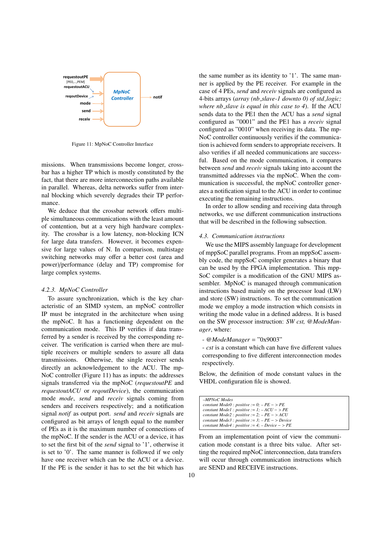

Figure 11: MpNoC Controller Interface

missions. When transmissions become longer, crossbar has a higher TP which is mostly constituted by the fact, that there are more interconnection paths available in parallel. Whereas, delta networks suffer from internal blocking which severely degrades their TP performance.

We deduce that the crossbar network offers multiple simultaneous communications with the least amount of contention, but at a very high hardware complexity. The crossbar is a low latency, non-blocking ICN for large data transfers. However, it becomes expensive for large values of N. In comparison, multistage switching networks may offer a better cost (area and power)/performance (delay and TP) compromise for large complex systems.

#### *4.2.3. MpNoC Controller*

To assure synchronization, which is the key characteristic of an SIMD system, an mpNoC controller IP must be integrated in the architecture when using the mpNoC. It has a functioning dependent on the communication mode. This IP verifies if data transferred by a sender is received by the corresponding receiver. The verification is carried when there are multiple receivers or multiple senders to assure all data transmissions. Otherwise, the single receiver sends directly an acknowledgement to the ACU. The mp-NoC controller (Figure 11) has as inputs: the addresses signals transferred via the mpNoC (*requestoutPE* and *requestoutACU* or *reqoutDevice*), the communication mode *mode*, *send* and *receiv* signals coming from senders and receivers respectively; and a notification signal *notif* as output port. *send* and *receiv* signals are configured as bit arrays of length equal to the number of PEs as it is the maximum number of connections of the mpNoC. If the sender is the ACU or a device, it has to set the first bit of the *send* signal to '1', otherwise it is set to '0'. The same manner is followed if we only have one receiver which can be the ACU or a device. If the PE is the sender it has to set the bit which has

the same number as its identity to '1'. The same manner is applied by the PE receiver. For example in the case of 4 PEs, *send* and *receiv* signals are configured as 4-bits arrays (*array (nb slave-1 downto 0) of std logic; where nb slave is equal in this case to 4*). If the ACU sends data to the PE1 then the ACU has a *send* signal configured as "0001" and the PE1 has a *receiv* signal configured as "0010" when receiving its data. The mp-NoC controller continuously verifies if the communication is achieved form senders to appropriate receivers. It also verifies if all needed communications are successful. Based on the mode communication, it compares between *send* and *receiv* signals taking into account the transmitted addresses via the mpNoC. When the communication is successful, the mpNoC controller generates a notification signal to the ACU in order to continue executing the remaining instructions.

In order to allow sending and receiving data through networks, we use different communication instructions that will be described in the following subsection.

## *4.3. Communication instructions*

We use the MIPS assembly language for development of mppSoC parallel programs. From an mppSoC assembly code, the mppSoC compiler generates a binary that can be used by the FPGA implementation. This mpp-SoC compiler is a modification of the GNU MIPS assembler. MpNoC is managed through communication instructions based mainly on the processor load (LW) and store (SW) instructions. To set the communication mode we employ a mode instruction which consists in writing the mode value in a defined address. It is based on the SW processor instruction: *SW cst, @ModeManager*, where:

- *@ModeManager* = "0x9003"

- *cst* is a constant which can have five different values corresponding to five different interconnection modes respectively.

Below, the definition of mode constant values in the VHDL configuration file is showed.

| -MPNoC Modes                                     |  |
|--------------------------------------------------|--|
| constant Mode0 : positive := 0; $-PE$ - > PE     |  |
| constant Model: positive := 1; $-ACU - > PE$     |  |
| constant Mode2 : positive := 2; $-PE$ - > ACU    |  |
| constant Mode3 : positive := 3; $-PE$ - > Device |  |
| constant Mode4 : positive := 4; - Device - > PE  |  |

From an implementation point of view the communication mode constant is a three bits value. After setting the required mpNoC interconnection, data transfers will occur through communication instructions which are SEND and RECEIVE instructions.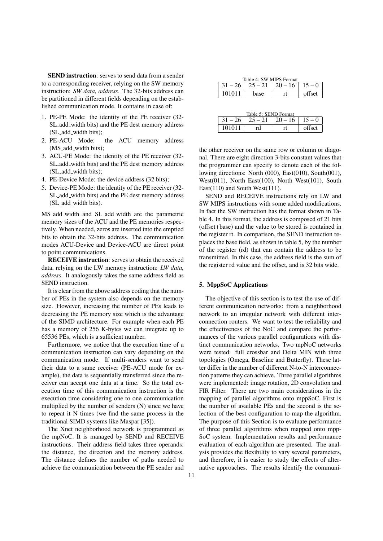SEND instruction: serves to send data from a sender to a corresponding receiver, relying on the SW memory instruction: *SW data, address*. The 32-bits address can be partitioned in different fields depending on the established communication mode. It contains in case of:

- 1. PE-PE Mode: the identity of the PE receiver (32- SL add width bits) and the PE dest memory address (SL add width bits);
- 2. PE-ACU Mode: the ACU memory address (MS\_add\_width bits);
- 3. ACU-PE Mode: the identity of the PE receiver (32- SL add width bits) and the PE dest memory address (SL add width bits);
- 4. PE-Device Mode: the device address (32 bits);
- 5. Device-PE Mode: the identity of the PE receiver (32- SL add width bits) and the PE dest memory address (SL add width bits).

MS add width and SL add width are the parametric memory sizes of the ACU and the PE memories respectively. When needed, zeros are inserted into the emptied bits to obtain the 32-bits address. The communication modes ACU-Device and Device-ACU are direct point to point communications.

RECEIVE instruction: serves to obtain the received data, relying on the LW memory instruction: *LW data, address*. It analogously takes the same address field as SEND instruction.

It is clear from the above address coding that the number of PEs in the system also depends on the memory size. However, increasing the number of PEs leads to decreasing the PE memory size which is the advantage of the SIMD architecture. For example when each PE has a memory of 256 K-bytes we can integrate up to 65536 PEs, which is a sufficient number.

Furthermore, we notice that the execution time of a communication instruction can vary depending on the communication mode. If multi-senders want to send their data to a same receiver (PE-ACU mode for example), the data is sequentially transferred since the receiver can accept one data at a time. So the total execution time of this communication instruction is the execution time considering one to one communication multiplied by the number of senders (N) since we have to repeat it N times (we find the same process in the traditional SIMD systems like Maspar [35]).

The Xnet neighborhood network is programmed as the mpNoC. It is managed by SEND and RECEIVE instructions. Their address field takes three operands: the distance, the direction and the memory address. The distance defines the number of paths needed to achieve the communication between the PE sender and

| Table 4: SW MIPS Format                      |  |  |        |  |
|----------------------------------------------|--|--|--------|--|
| $31 - 26$   $25 - 21$   $20 - 16$   $15 - 0$ |  |  |        |  |
| 101011<br>hase                               |  |  | offset |  |

| Table 5: SEND Format |           |           |          |  |
|----------------------|-----------|-----------|----------|--|
|                      | $25 - 21$ | $20 - 16$ | $15 - 0$ |  |
| 101011               |           | rt        | offset   |  |

the other receiver on the same row or column or diagonal. There are eight direction 3-bits constant values that the programmer can specify to denote each of the following directions: North (000), East(010), South(001), West(011), North East(100), North West(101), South East(110) and South West(111).

SEND and RECEIVE instructions rely on LW and SW MIPS instructions with some added modifications. In fact the SW instruction has the format shown in Table 4. In this format, the address is composed of 21 bits (offset+base) and the value to be stored is contained in the register rt. In comparison, the SEND instruction replaces the base field, as shown in table 5, by the number of the register (rd) that can contain the address to be transmitted. In this case, the address field is the sum of the register rd value and the offset, and is 32 bits wide.

## 5. MppSoC Applications

The objective of this section is to test the use of different communication networks: from a neighborhood network to an irregular network with different interconnection routers. We want to test the reliability and the effectiveness of the NoC and compare the performances of the various parallel configurations with distinct communication networks. Two mpNoC networks were tested: full crossbar and Delta MIN with three topologies (Omega, Baseline and Butterfly). These latter differ in the number of different N-to-N interconnection patterns they can achieve. Three parallel algorithms were implemented: image rotation, 2D convolution and FIR Filter. There are two main considerations in the mapping of parallel algorithms onto mppSoC. First is the number of available PEs and the second is the selection of the best configuration to map the algorithm. The purpose of this Section is to evaluate performance of three parallel algorithms when mapped onto mpp-SoC system. Implementation results and performance evaluation of each algorithm are presented. The analysis provides the flexibility to vary several parameters, and therefore, it is easier to study the effects of alternative approaches. The results identify the communi-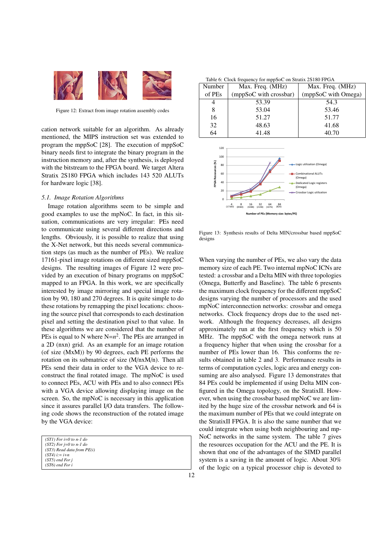

Figure 12: Extract from image rotation assembly codes

cation network suitable for an algorithm. As already mentioned, the MIPS instruction set was extended to program the mppSoC [28]. The execution of mppSoC binary needs first to integrate the binary program in the instruction memory and, after the synthesis, is deployed with the bitstream to the FPGA board. We target Altera Stratix 2S180 FPGA which includes 143 520 ALUTs for hardware logic [38].

#### *5.1. Image Rotation Algorithms*

Image rotation algorithms seem to be simple and good examples to use the mpNoC. In fact, in this situation, communications are very irregular: PEs need to communicate using several different directions and lengths. Obviously, it is possible to realize that using the X-Net network, but this needs several communication steps (as much as the number of PEs). We realize 17161-pixel image rotations on different sized mppSoC designs. The resulting images of Figure 12 were provided by an execution of binary programs on mppSoC mapped to an FPGA. In this work, we are specifically interested by image mirroring and special image rotation by 90, 180 and 270 degrees. It is quite simple to do these rotations by remapping the pixel locations: choosing the source pixel that corresponds to each destination pixel and setting the destination pixel to that value. In these algorithms we are considered that the number of PEs is equal to N where  $N=n^2$ . The PEs are arranged in a 2D (nxn) grid. As an example for an image rotation (of size (MxM)) by 90 degrees, each PE performs the rotation on its submatrice of size (M/nxM/n). Then all PEs send their data in order to the VGA device to reconstruct the final rotated image. The mpNoC is used to connect PEs, ACU with PEs and to also connect PEs with a VGA device allowing displaying image on the screen. So, the mpNoC is necessary in this application since it assures parallel I/O data transfers. The following code shows the reconstruction of the rotated image by the VGA device:

| $(ST1)$ For $i=0$ to n-1 do    |  |
|--------------------------------|--|
| $(ST2)$ For $i=0$ to n-1 do    |  |
| $(ST3)$ Read data from $PE(i)$ |  |
| $(ST4) i := i+n$               |  |
| $(ST5)$ end For j              |  |
| $(ST6)$ end For i              |  |

| Table 6: Clock frequency for mppSoC on Stratix 2S180 FPGA |  |
|-----------------------------------------------------------|--|
|-----------------------------------------------------------|--|

| Number                           | Max. Freq. (MHz) | Max. Freq. (MHz)    |
|----------------------------------|------------------|---------------------|
| (mppSoC with crossbar)<br>of PEs |                  | (mppSoC with Omega) |
| 4                                | 53.39            | 54.3                |
| 8                                | 53.04            | 53.46               |
| 16                               | 51.27            | 51.77               |
| 32                               | 48.63            | 41.68               |
| 64                               | 41.48            | 40.70               |



Figure 13: Synthesis results of Delta MIN/crossbar based mppSoC designs

When varying the number of PEs, we also vary the data memory size of each PE. Two internal mpNoC ICNs are tested: a crossbar and a Delta MIN with three topologies (Omega, Butterfly and Baseline). The table 6 presents the maximum clock frequency for the different mppSoC designs varying the number of processors and the used mpNoC interconnection networks: crossbar and omega networks. Clock frequency drops due to the used network. Although the frequency decreases, all designs approximately run at the first frequency which is 50 MHz. The mppSoC with the omega network runs at a frequency higher that when using the crossbar for a number of PEs lower than 16. This conforms the results obtained in table 2 and 3. Performance results in terms of computation cycles, logic area and energy consuming are also analysed. Figure 13 demonstrates that 84 PEs could be implemented if using Delta MIN configured in the Omega topology, on the StratixII. However, when using the crossbar based mpNoC we are limited by the huge size of the crossbar network and 64 is the maximum number of PEs that we could integrate on the StratixII FPGA. It is also the same number that we could integrate when using both neighbouring and mp-NoC networks in the same system. The table 7 gives the resources occupation for the ACU and the PE. It is shown that one of the advantages of the SIMD parallel system is a saving in the amount of logic. About 30% of the logic on a typical processor chip is devoted to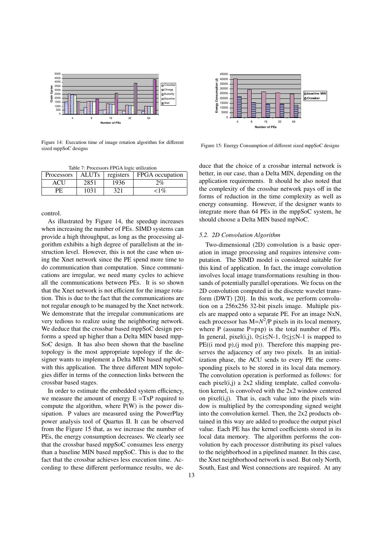

Figure 14: Execution time of image rotation algorithm for different sized mppSoC designs

Table 7: Processors FPGA logic utilization

| <b>Processors</b> | <b>ALUTs</b> |      | $\vert$ registers $\vert$ FPGA occupation |
|-------------------|--------------|------|-------------------------------------------|
| ACU               | 2851         | 1936 | $2\%$                                     |
| PF                | 1031         | 321. | ${1\%}$                                   |

control.

As illustrated by Figure 14, the speedup increases when increasing the number of PEs. SIMD systems can provide a high throughput, as long as the processing algorithm exhibits a high degree of parallelism at the instruction level. However, this is not the case when using the Xnet network since the PE spend more time to do communication than computation. Since communications are irregular, we need many cycles to achieve all the communications between PEs. It is so shown that the Xnet network is not efficient for the image rotation. This is due to the fact that the communications are not regular enough to be managed by the Xnet network. We demonstrate that the irregular communications are very tedious to realize using the neighboring network. We deduce that the crossbar based mppSoC design performs a speed up higher than a Delta MIN based mpp-SoC design. It has also been shown that the baseline topology is the most appropriate topology if the designer wants to implement a Delta MIN based mpNoC with this application. The three different MIN topologies differ in terms of the connection links between the crossbar based stages.

In order to estimate the embedded system efficiency, we measure the amount of energy  $E = TxP$  required to compute the algorithm, where  $P(W)$  is the power dissipation. P values are measured using the PowerPlay power analysis tool of Quartus II. It can be observed from the Figure 15 that, as we increase the number of PEs, the energy consumption decreases. We clearly see that the crossbar based mppSoC consumes less energy than a baseline MIN based mppSoC. This is due to the fact that the crossbar achieves less execution time. According to these different performance results, we de-



Figure 15: Energy Consumption of different sized mppSoC designs

duce that the choice of a crossbar internal network is better, in our case, than a Delta MIN, depending on the application requirements. It should be also noted that the complexity of the crossbar network pays off in the forms of reduction in the time complexity as well as energy consuming. However, if the designer wants to integrate more than 64 PEs in the mppSoC system, he should choose a Delta MIN based mpNoC.

#### *5.2. 2D Convolution Algorithm*

Two-dimensional (2D) convolution is a basic operation in image processing and requires intensive computation. The SIMD model is considered suitable for this kind of application. In fact, the image convolution involves local image transformations resulting in thousands of potentially parallel operations. We focus on the 2D convolution computed in the discrete wavelet transform (DWT) [20]. In this work, we perform convolution on a 256x256 32-bit pixels image. Multiple pixels are mapped onto a separate PE. For an image NxN, each processor has  $M=N^2/P$  pixels in its local memory, where P (assume P=pxp) is the total number of PEs. In general, pixel(i,j),  $0 \le i \le N-1$ ,  $0 \le j \le N-1$  is mapped to PE((i mod p),(j mod p)). Therefore this mapping preserves the adjacency of any two pixels. In an initialization phase, the ACU sends to every PE the corresponding pixels to be stored in its local data memory. The convolution operation is performed as follows: for each pixel(i,j) a 2x2 sliding template, called convolution kernel, is convolved with the 2x2 window centered on pixel(i,j). That is, each value into the pixels window is multiplied by the corresponding signed weight into the convolution kernel. Then, the 2x2 products obtained in this way are added to produce the output pixel value. Each PE has the kernel coefficients stored in its local data memory. The algorithm performs the convolution by each processor distributing its pixel values to the neighborhood in a pipelined manner. In this case, the Xnet neighborhood network is used. But only North, South, East and West connections are required. At any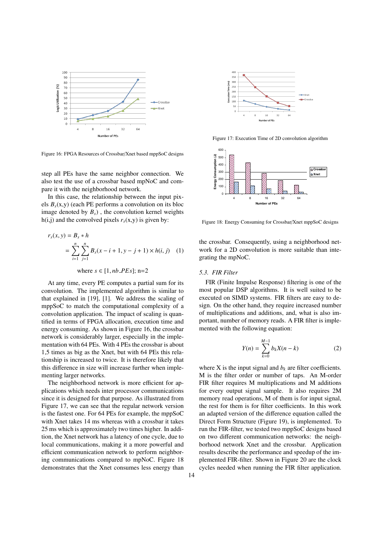

Figure 16: FPGA Resources of Crossbar/Xnet based mppSoC designs

step all PEs have the same neighbor connection. We also test the use of a crossbar based mpNoC and compare it with the neighborhood network.

In this case, the relationship between the input pixels  $B<sub>s</sub>(x,y)$  (each PE performs a convolution on its bloc image denoted by  $B_s$ ), the convolution kernel weights h(i,j) and the convolved pixels  $r<sub>s</sub>(x,y)$  is given by:

$$
r_s(x, y) = B_s * h
$$
  
= 
$$
\sum_{i=1}^{n} \sum_{j=1}^{n} B_s(x - i + 1, y - j + 1) \times h(i, j)
$$
 (1)  
where  $s \in [1, nb\_PEs]$ ; n=2

At any time, every PE computes a partial sum for its convolution. The implemented algorithm is similar to that explained in [19], [1]. We address the scaling of mppSoC to match the computational complexity of a convolution application. The impact of scaling is quantified in terms of FPGA allocation, execution time and energy consuming. As shown in Figure 16, the crossbar network is considerably larger, especially in the implementation with 64 PEs. With 4 PEs the crossbar is about 1,5 times as big as the Xnet, but with 64 PEs this relationship is increased to twice. It is therefore likely that this difference in size will increase further when implementing larger networks.

The neighborhood network is more efficient for applications which needs inter processor communications since it is designed for that purpose. As illustrated from Figure 17, we can see that the regular network version is the fastest one. For 64 PEs for example, the mppSoC with Xnet takes 14 ms whereas with a crossbar it takes 25 ms which is approximately two times higher. In addition, the Xnet network has a latency of one cycle, due to local communications, making it a more powerful and efficient communication network to perform neighboring communications compared to mpNoC. Figure 18 demonstrates that the Xnet consumes less energy than



Figure 17: Execution Time of 2D convolution algorithm



Figure 18: Energy Consuming for Crossbar/Xnet mppSoC designs

the crossbar. Consequently, using a neighborhood network for a 2D convolution is more suitable than integrating the mpNoC.

## *5.3. FIR Filter*

FIR (Finite Impulse Response) filtering is one of the most popular DSP algorithms. It is well suited to be executed on SIMD systems. FIR filters are easy to design. On the other hand, they require increased number of multiplications and additions, and, what is also important, number of memory reads. A FIR filter is implemented with the following equation:

$$
Y(n) = \sum_{k=0}^{M-1} b_k X(n-k)
$$
 (2)

where X is the input signal and  $b_k$  are filter coefficients. M is the filter order or number of taps. An M-order FIR filter requires M multiplications and M additions for every output signal sample. It also requires 2M memory read operations, M of them is for input signal, the rest for them is for filter coefficients. In this work an adapted version of the difference equation called the Direct Form Structure (Figure 19), is implemented. To run the FIR-filter, we tested two mppSoC designs based on two different communication networks: the neighborhood network Xnet and the crossbar. Application results describe the performance and speedup of the implemented FIR-filter. Shown in Figure 20 are the clock cycles needed when running the FIR filter application.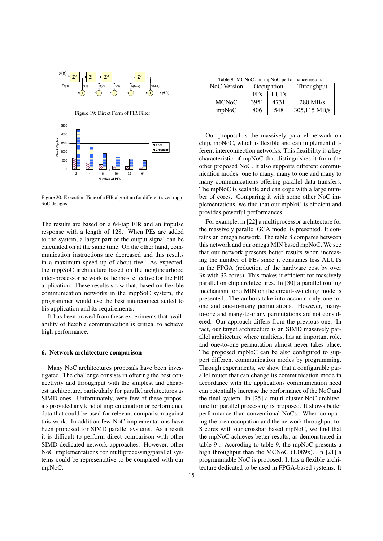

Figure 19: Direct Form of FIR Filter



Figure 20: Execution Time of a FIR algorithm for different sized mpp-SoC designs

The results are based on a 64-tap FIR and an impulse response with a length of 128. When PEs are added to the system, a larger part of the output signal can be calculated on at the same time. On the other hand, communication instructions are decreased and this results in a maximum speed up of about five. As expected, the mppSoC architecture based on the neighbourhood inter-processor network is the most effective for the FIR application. These results show that, based on flexible communication networks in the mppSoC system, the programmer would use the best interconnect suited to his application and its requirements.

It has been proved from these experiments that availability of flexible communication is critical to achieve high performance.

#### 6. Network architecture comparison

Many NoC architectures proposals have been investigated. The challenge consists in offering the best connectivity and throughput with the simplest and cheapest architecture, particularly for parallel architectures as SIMD ones. Unfortunately, very few of these proposals provided any kind of implementation or performance data that could be used for relevant comparison against this work. In addition few NoC implementations have been proposed for SIMD parallel systems. As a result it is difficult to perform direct comparison with other SIMD dedicated network approaches. However, other NoC implementations for multiprocessing/parallel systems could be representative to be compared with our mpNoC.

Table 9: MCNoC and mpNoC performance results

| NoC Version | Occupation |             | Throughput   |
|-------------|------------|-------------|--------------|
|             | <b>FFs</b> | <b>LUTs</b> |              |
| MCN0C       | 3951       | 4731        | $280$ MB/s   |
| mpNoC       | 806        | 548         | 305,115 MB/s |

Our proposal is the massively parallel network on chip, mpNoC, which is flexible and can implement different interconnection networks. This flexibility is a key characteristic of mpNoC that distinguishes it from the other proposed NoC. It also supports different communication modes: one to many, many to one and many to many communications offering parallel data transfers. The mpNoC is scalable and can cope with a large number of cores. Comparing it with some other NoC implementations, we find that our mpNoC is efficient and provides powerful performances.

For example, in [22] a multiprocessor architecture for the massively parallel GCA model is presented. It contains an omega network. The table 8 compares between this network and our omega MIN based mpNoC. We see that our network presents better results when increasing the number of PEs since it consumes less ALUTs in the FPGA (reduction of the hardware cost by over 3x with 32 cores). This makes it efficient for massively parallel on chip architectures. In [30] a parallel routing mechanism for a MIN on the circuit-switching mode is presented. The authors take into account only one-toone and one-to-many permutations. However, manyto-one and many-to-many permutations are not considered. Our approach differs from the previous one. In fact, our target architecture is an SIMD massively parallel architecture where multicast has an important role, and one-to-one permutation almost never takes place. The proposed mpNoC can be also configured to support different communication modes by programming. Through experiments, we show that a configurable parallel router that can change its communication mode in accordance with the applications communication need can potentially increase the performance of the NoC and the final system. In [25] a multi-cluster NoC architecture for parallel processing is proposed. It shows better performance than conventional NoCs. When comparing the area occupation and the network throughput for 8 cores with our crossbar based mpNoC, we find that the mpNoC achieves better results, as demonstrated in table 9 . Accroding to table 9, the mpNoC presents a high throughput than the MCNoC (1.089x). In [21] a programmable NoC is proposed. It has a flexible architecture dedicated to be used in FPGA-based systems. It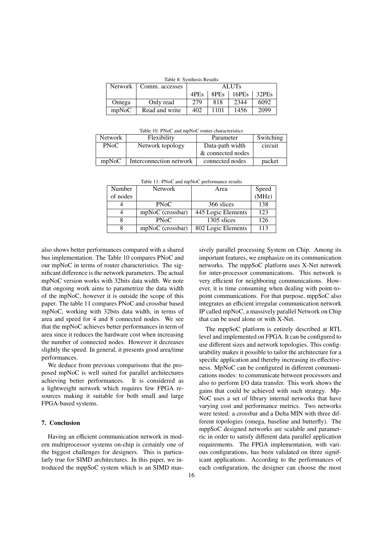Table 8: Synthesis Results

| Network | Comm. accesses | <b>ALUTs</b>     |                  |       |       |
|---------|----------------|------------------|------------------|-------|-------|
|         |                | 4PE <sub>s</sub> | 8PE <sub>s</sub> | 16PEs | 32PEs |
| Omega   | Only read      | 279              | 818              | 2344  | 6092  |
| mpNoC   | Read and write | 402              | 1101             | 1456  | 2099  |

Table 10: PNoC and mpNoC router characteristics

| <b>Network</b>    | Flexibility             | Parameter         | Switching |
|-------------------|-------------------------|-------------------|-----------|
| PN <sub>o</sub> C | Network topology        | Data-path width   | circuit   |
|                   |                         | & connected nodes |           |
| mpNoC             | Interconnection network | connected nodes   | packet    |

| Table 11: PNoC and mpNoC performance results |  |
|----------------------------------------------|--|
|----------------------------------------------|--|

| Number   | <b>Network</b>    | Area               | Speed |
|----------|-------------------|--------------------|-------|
| of nodes |                   |                    | (MHz) |
|          | <b>PNoC</b>       | 366 slices         | 138   |
|          | mpNoC (crossbar)  | 445 Logic Elements | 123   |
|          | PN <sub>o</sub> C | 1305 slices        | 126   |
|          | mpNoC (crossbar)  | 802 Logic Elements | 113   |

also shows better performances compared with a shared bus implementation. The Table 10 compares PNoC and our mpNoC in terms of router characteristics. The significant difference is the network parameters. The actual mpNoC version works with 32bits data width. We note that ongoing work aims to parametrize the data width of the mpNoC, however it is outside the scope of this paper. The table 11 compares PNoC and crossbar based mpNoC, working with 32bits data width, in terms of area and speed for 4 and 8 connected nodes. We see that the mpNoC achieves better performances in term of area since it reduces the hardware cost when increasing the number of connected nodes. However it decreases slightly the speed. In general, it presents good area/time performances.

We deduce from previous comparisons that the proposed mpNoC is well suited for parallel architectures achieving better performances. It is considered as a lightweight network which requires few FPGA resources making it suitable for both small and large FPGA-based systems.

### 7. Conclusion

Having an efficient communication network in modern multiprocessor systems on-chip is certainly one of the biggest challenges for designers. This is particularly true for SIMD architectures. In this paper, we introduced the mppSoC system which is an SIMD massively parallel processing System on Chip. Among its important features, we emphasize on its communication networks. The mppSoC platform uses X-Net network for inter-processor communications. This network is very efficient for neighboring communications. However, it is time consuming when dealing with point-topoint communications. For that purpose, mppSoC also integrates an efficient irregular communication network IP called mpNoC, a massively parallel Network on Chip that can be used alone or with X-Net.

The mppSoC platform is entirely described at RTL level and implemented on FPGA. It can be configured to use different sizes and network topologies. This configurability makes it possible to tailor the architecture for a specific application and thereby increasing its effectiveness. MpNoC can be configured in different communications modes: to communicate between processors and also to perform I/O data transfer. This work shows the gains that could be achieved with such strategy. Mp-NoC uses a set of library internal networks that have varying cost and performance metrics. Two networks were tested: a crossbar and a Delta MIN with three different topologies (omega, baseline and butterfly). The mppSoC designed networks are scalable and parametric in order to satisfy different data parallel application requirements. The FPGA implementation, with various configurations, has been validated on three significant applications. According to the performances of each configuration, the designer can choose the most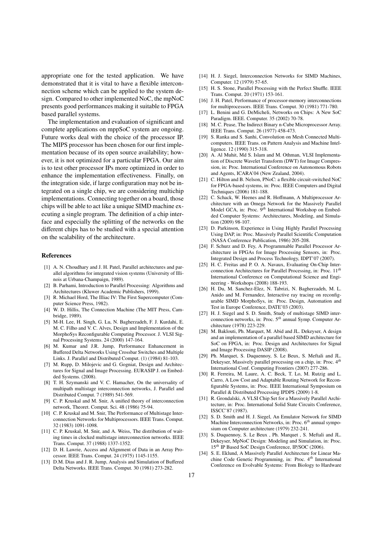appropriate one for the tested application. We have demonstrated that it is vital to have a flexible interconnection scheme which can be applied to the system design. Compared to other implemented NoC, the mpNoC presents good performances making it suitable to FPGA based parallel systems.

The implementation and evaluation of significant and complete applications on mppSoC system are ongoing. Future works deal with the choice of the processor IP. The MIPS processor has been chosen for our first implementation because of its open source availability; however, it is not optimized for a particular FPGA. Our aim is to test other processor IPs more optimized in order to enhance the implementation effectiveness. Finally, on the integration side, if large configuration may not be integrated on a single chip, we are considering multichip implementations. Connecting together on a board, those chips will be able to act like a unique SIMD machine executing a single program. The definition of a chip interface and especially the splitting of the networks on the different chips has to be studied with a special attention on the scalability of the architecture.

#### References

- [1] A. N. Choudhary and J. H. Patel, Parallel architectures and parallel algorithms for integrated vision systems (University of Illinois at Urbana-Champaign, 1989).
- [2] B. Parhami, Introduction to Parallel Processing: Algorithms and Architectures (Kluwer Academic Publishers, 1999).
- [3] R. Michael Hord, The Illiac IV: The First Supercomputer (Computer Science Press, 1982).
- [4] W. D. Hillis, The Connection Machine (The MIT Press, Cambridge, 1989).
- [5] M-H. Lee, H. Singh, G. Lu, N. Bagherzadeh, F. J. Kurdahi, E. M. C. Filho and V. C. Alves, Design and Implementation of the MorphoSys Reconfigurable Computing Processor. J. VLSI Signal Processing Systems. 24 (2000) 147-164.
- [6] M. Kumar and J.R. Jump, Performance Enhancement in Buffered Delta Networks Using Crossbar Switches and Multiple Links. J. Parallel and Distributed Comput. (1) (1984) 81-103.
- [7] M. Rupp, D. Milojevic and G. Gogniat, Design and Architectures for Signal and Image Processing. EURASIP J. on Embedded Systems. (2008).
- [8] T. H. Szymanski and V. C. Hamacher, On the universality of multipath multistage interconnection networks, J. Parallel and Distributed Comput. 7 (1989) 541-569.
- [9] C. P. Kruskal and M. Snir, A unified theory of interconnection network, Theoret. Comput. Sci. 48 (1986) 75-94.
- [10] C. P. Kruskal and M. Snir, The Performance of Multistage Interconnection Networks for Multiprocessors. IEEE Trans. Comput. 32 (1983) 1091-1098.
- [11] C. P. Kruskal, M. Snir, and A. Weiss, The distribution of waiting times in clocked multistage interconnection networks. IEEE Trans. Comput. 37 (1988) 1337-1352.
- [12] D. H. Lawrie, Access and Alignment of Data in an Array Processor. IEEE Trans. Comput. 24 (1975) 1145-1155.
- [13] D.M. Dias and J. R. Jump, Analysis and Simulation of Buffered Delta Networks. IEEE Trans. Comput. 30 (1981) 273-282.
- [14] H. J. Siegel, Interconnection Networks for SIMD Machines, Computer. 12 (1979) 57-65.
- [15] H. S. Stone, Parallel Processing with the Perfect Shuffle. IEEE Trans. Comput. 20 (1971) 153-161.
- [16] J. H. Patel, Performance of processor-memory interconnections for multiprocessors. IEEE Trans. Comput. 30 (1981) 771-780.
- [17] L. Benini and G. DeMicheli, Networks on Chips: A New SoC Paradigm. IEEE. Computer. 35 (2002) 70-78.
- [18] M. C. Pease, The Indirect Binary n-Cube Microprocessor Array. IEEE Trans. Comput. 26 (1977) 458-473.
- [19] S. Ranka and S. Sanhi, Convolution on Mesh Connected Multicomputers. IEEE Trans. on Pattern Analysis and Machine Intelligence. 12 (1990) 315-318.
- [20] A. Al Muhit, Md S. Islam and M. Othman, VLSI Implementation of Discrete Wavelet Transform (DWT) for Image Compression, in: Proc. International Conference on Autonomous Robots and Agents, ICARA'04 (New Zealand, 2004).
- [21] C. Hilton and B. Nelson, PNoC: a flexible circuit-switched NoC for FPGA-based systems, in: Proc. IEEE Computers and Digital Techniques (2006) 181-188.
- [22] C. Schack, W. Heenes and R. Hoffmann, A Multiprocessor Architecture with an Omega Network for the Massively Parallel Model GCA, in: Proc. 9*th* International Workshop on Embedded Computer Systems: Architectures, Modeling, and Simulation (2009) 98-107.
- [23] D. Parkinson, Experience in Using Highly Parallel Processing Using DAP, in: Proc. Massively Parallel Scientific Computation (NASA Conference Publication, 1986) 205-208.
- [24] F. Schurz and D. Fey, A Programmable Parallel Processor Architecture in FPGAs for Image Processing Sensors, in: Proc. Integrated Design and Process Technology, IDPT'07 (2007).
- [25] H. C. Freitas and P. O. A. Navaux, Evaluating On-Chip Interconnection Architectures for Parallel Processing, in: Proc. 11*th* International Conference on Computational Science and Engineering - Workshops (2008) 188-193.
- [26] H. Du, M. Sanchez-Elez, N. Tabrizi, N. Bagherzadeh, M. L. Anido and M. Fernandez, Interactive ray tracing on reconfigurable SIMD MorphoSys, in: Proc. Design, Automation and Test in Europe Conference, DATE'03 (2003).
- [27] H. J. Siegel and S. D. Smith, Study of multistage SlMD interconnection networks, in: Proc. 5*th* annual Symp. Computer Architecture (1978) 223-229.
- [28] M. Baklouti, Ph. Marquet, M. Abid and JL. Dekeyser, A design and an implementation of a parallel based SIMD architecture for SoC on FPGA, in: Proc. Design and Architectures for Signal and Image Processing DASIP (2008).
- [29] Ph. Marquet, S. Duquennoy, S. Le Beux, S. Meftali and JL. Dekeyser, Massively parallel processing on a chip, in: Proc. 4*th* International Conf. Computing Frontiers (2007) 277-286.
- [30] R. Ferreira, M. Laure, A. C. Beck, T. Lo, M. Rutzig and L. Carro, A Low Cost and Adaptable Routing Network for Reconfigurable Systems, in: Proc. IEEE International Symposium on Parallel & Distributed Processing IPDPS (2009) 1-8.
- [31] R. Grondalski, A VLSI Chip Set for a Massively Parallel Architecture, in: Proc. International Solid State Circuits Conference, ISSCC'87 (1987).
- [32] S. D. Smith and H. J. Siegel, An Emulator Network for SIMD Machine Interconnection Networks, in: Proc. 6*th* annual symposium on Computer architecture (1979) 232-241.
- [33] S. Duquennoy, S. Le Beux , Ph. Marquet , S. Meftali and JL. Dekeyser, MpNoC Design: Modeling and Simulation, in: Proc. 15*th* IP Based SoC Design Conference, IP/SOC (2006).
- [34] S. E. Eklund, A Massively Parallel Architecture for Linear Machine Code Genetic Programming, in: Proc. 4*th* International Conference on Evolvable Systems: From Biology to Hardware